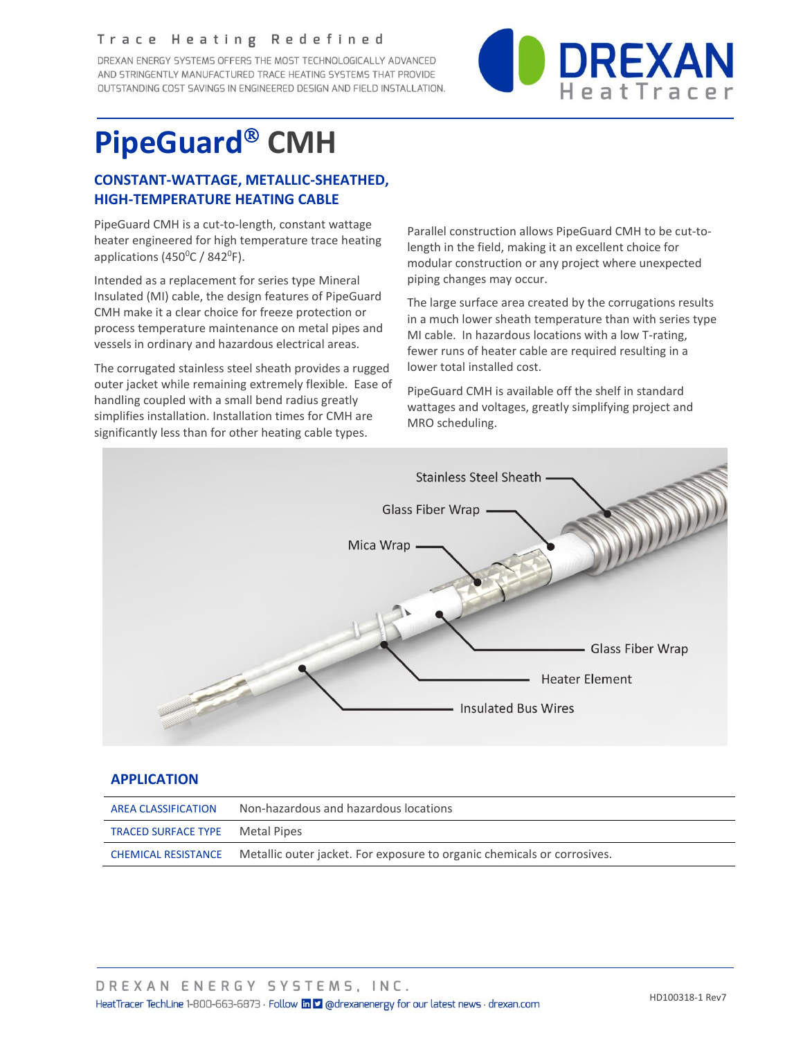#### Trace Heating Redefined

DREXAN ENERGY SYSTEMS OFFERS THE MOST TECHNOLOGICALLY ADVANCED AND STRINGENTLY MANUFACTURED TRACE HEATING SYSTEMS THAT PROVIDE OUTSTANDING COST SAVINGS IN ENGINEERED DESIGN AND FIELD INSTALLATION.



# **PipeGuard® CMH**

## **CONSTANT-WATTAGE, METALLIC-SHEATHED, HIGH-TEMPERATURE HEATING CABLE**

PipeGuard CMH is a cut-to-length, constant wattage heater engineered for high temperature trace heating applications (450 $^{\circ}$ C / 842 $^{\circ}$ F).

Intended as a replacement for series type Mineral Insulated (MI) cable, the design features of PipeGuard CMH make it a clear choice for freeze protection or process temperature maintenance on metal pipes and vessels in ordinary and hazardous electrical areas.

The corrugated stainless steel sheath provides a rugged outer jacket while remaining extremely flexible. Ease of handling coupled with a small bend radius greatly simplifies installation. Installation times for CMH are significantly less than for other heating cable types.

Parallel construction allows PipeGuard CMH to be cut-tolength in the field, making it an excellent choice for modular construction or any project where unexpected piping changes may occur.

The large surface area created by the corrugations results in a much lower sheath temperature than with series type MI cable. In hazardous locations with a low T-rating, fewer runs of heater cable are required resulting in a lower total installed cost.

PipeGuard CMH is available off the shelf in standard wattages and voltages, greatly simplifying project and MRO scheduling.



#### **APPLICATION**

| <b>AREA CLASSIFICATION</b>             | Non-hazardous and hazardous locations                                   |
|----------------------------------------|-------------------------------------------------------------------------|
| <b>TRACED SURFACE TYPE Metal Pipes</b> |                                                                         |
| <b>CHEMICAL RESISTANCE</b>             | Metallic outer jacket. For exposure to organic chemicals or corrosives. |